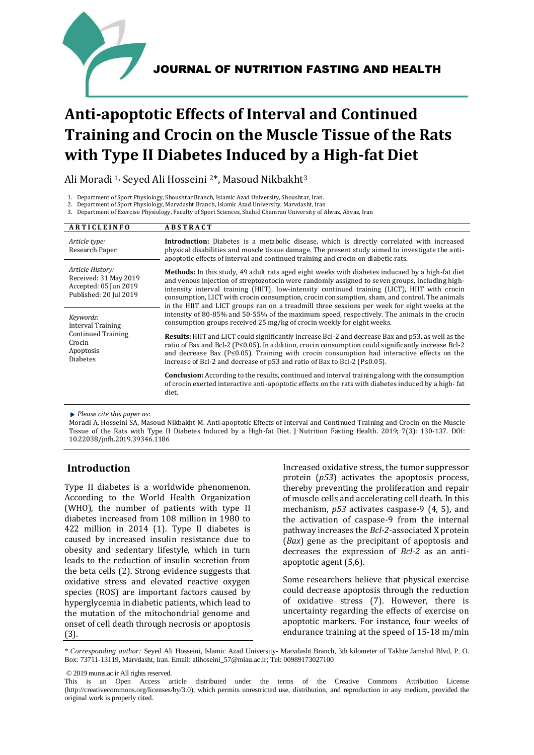

# **Anti-apoptotic Effects of Interval and Continued Training and Crocin on the Muscle Tissue of the Rats with Type II Diabetes Induced by a High-fat Diet**

Ali Moradi 1, Seyed Ali Hosseini 2\*, Masoud Nikbakht<sup>3</sup>

<sup>3.</sup> Department of Exercise Physiology, Faculty of Sport Sciences, Shahid Chamran University of Ahvaz, Ahvaz, Iran

| <b>ARTICLEINFO</b>                                                                                           | <b>ABSTRACT</b>                                                                                                                                                                                                                                                                                                                                                                                                                                                                                              |  |  |
|--------------------------------------------------------------------------------------------------------------|--------------------------------------------------------------------------------------------------------------------------------------------------------------------------------------------------------------------------------------------------------------------------------------------------------------------------------------------------------------------------------------------------------------------------------------------------------------------------------------------------------------|--|--|
| Article type:<br>Research Paper                                                                              | <b>Introduction:</b> Diabetes is a metabolic disease, which is directly correlated with increased<br>physical disabilities and muscle tissue damage. The present study aimed to investigate the anti-<br>apoptotic effects of interval and continued training and crocin on diabetic rats.                                                                                                                                                                                                                   |  |  |
| Article History:<br>Received: 31 May 2019<br>Accepted: 05 Jun 2019<br>Published: 20 Jul 2019                 | <b>Methods:</b> In this study, 49 adult rats aged eight weeks with diabetes inducaed by a high-fat diet<br>and venous injection of streptozotocin were randomly assigned to seven groups, including high-<br>intensity interval training (HIIT), low-intensity continued training (LICT), HIIT with crocin<br>consumption, LICT with crocin consumption, crocin consumption, sham, and control. The animals<br>in the HIIT and LICT groups ran on a treadmill three sessions per week for eight weeks at the |  |  |
| Keywords:<br><b>Interval Training</b><br><b>Continued Training</b><br>Crocin<br>Apoptosis<br><b>Diabetes</b> | intensity of 80-85% and 50-55% of the maximum speed, respectively. The animals in the crocin<br>consumption groups received 25 mg/kg of crocin weekly for eight weeks.                                                                                                                                                                                                                                                                                                                                       |  |  |
|                                                                                                              | <b>Results:</b> HIIT and LICT could significantly increase Bcl-2 and decrease Bax and p53, as well as the<br>ratio of Bax and Bcl-2 ( $P \le 0.05$ ). In addition, crocin consumption could significantly increase Bcl-2<br>and decrease Bax ( $P \le 0.05$ ). Training with crocin consumption had interactive effects on the<br>increase of Bcl-2 and decrease of $p53$ and ratio of Bax to Bcl-2 ( $P \le 0.05$ ).                                                                                        |  |  |
|                                                                                                              | <b>Conclusion:</b> According to the results, continued and interval training along with the consumption<br>of crocin exerted interactive anti-apoptotic effects on the rats with diabetes induced by a high-fat<br>diet.                                                                                                                                                                                                                                                                                     |  |  |

*Please cite this paper as*:

Moradi A, Hosseini SA, Masoud Nikbakht M. Anti-apoptotic Effects of Interval and Continued Training and Crocin on the Muscle Tissue of the Rats with Type II Diabetes Induced by a High-fat Diet. J Nutrition Fasting Health. 2019; 7(3): 130-137. DOI: 10.22038/jnfh.2019.39346.1186

# **Introduction**

Type II diabetes is a worldwide phenomenon. According to the World Health Organization (WHO), the number of patients with type II diabetes increased from 108 million in 1980 to 422 million in 2014 (1). Type II diabetes is caused by increased insulin resistance due to obesity and sedentary lifestyle, which in turn leads to the reduction of insulin secretion from the beta cells (2). Strong evidence suggests that oxidative stress and elevated reactive oxygen species (ROS) are important factors caused by hyperglycemia in diabetic patients, which lead to the mutation of the mitochondrial genome and onset of cell death through necrosis or apoptosis (3).

Increased oxidative stress, the tumor suppressor protein (*p53*) activates the apoptosis process, thereby preventing the proliferation and repair of muscle cells and accelerating cell death. In this mechanism, *p53* activates caspase-9 (4, 5), and the activation of caspase-9 from the internal pathway increases the *Bcl-2*-associated X protein (*Bax*) gene as the precipitant of apoptosis and decreases the expression of *Bcl-2* as an antiapoptotic agent (5,6).

Some researchers believe that physical exercise could decrease apoptosis through the reduction of oxidative stress (7). However, there is uncertainty regarding the effects of exercise on apoptotic markers. For instance, four weeks of endurance training at the speed of 15-18 m/min

© 2019 mums.ac.ir All rights reserved.

<sup>1.</sup> Department of Sport Physiology, Shoushtar Branch, Islamic Azad University, Shoushtar, Iran.

<sup>2.</sup> Department of Sport Physiology, Marvdasht Branch, Islamic Azad University, Marvdasht, Iran

<sup>\*</sup> *Corresponding author:* Seyed Ali Hosseini, Islamic Azad University- Marvdasht Branch, 3th kilometer of Takhte Jamshid Blvd, P. O. Box: 73711-13119, Marvdasht, Iran. Email: alihoseini\_57@miau.ac.ir; Tel: 00989173027100

This is an Open Access article distributed under the terms of the Creative Commons Attribution License (http://creativecommons.org/licenses/by/3.0), which permits unrestricted use, distribution, and reproduction in any medium, provided the original work is properly cited.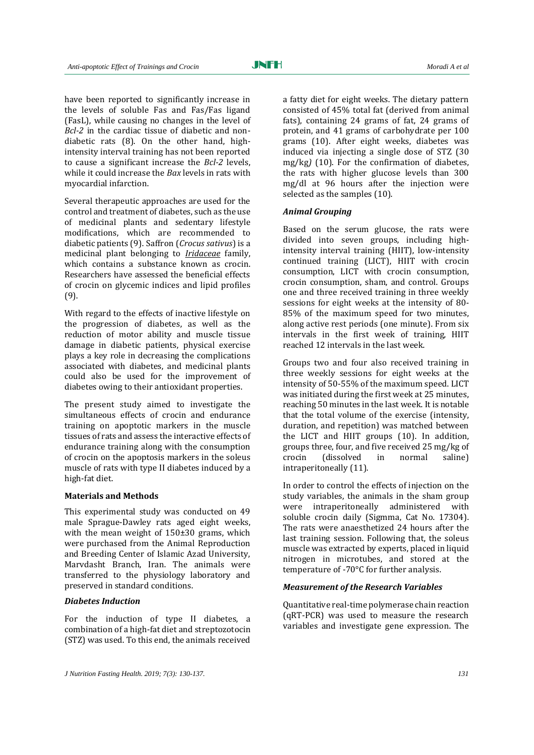have been reported to significantly increase in the levels of soluble Fas and Fas/Fas ligand (FasL), while causing no changes in the level of *Bcl-2* in the cardiac tissue of diabetic and nondiabetic rats (8). On the other hand, highintensity interval training has not been reported to cause a significant increase the *Bcl-2* levels, while it could increase the *Bax* levels in rats with myocardial infarction.

Several therapeutic approaches are used for the control and treatment of diabetes, such as the use of medicinal plants and sedentary lifestyle modifications, which are recommended to diabetic patients (9). Saffron (*Crocus sativus*) is a medicinal plant belonging to *[Iridaceae](https://en.wikipedia.org/wiki/Iridaceae)* family, which contains a substance known as crocin. Researchers have assessed the beneficial effects of crocin on glycemic indices and lipid profiles (9).

With regard to the effects of inactive lifestyle on the progression of diabetes, as well as the reduction of motor ability and muscle tissue damage in diabetic patients, physical exercise plays a key role in decreasing the complications associated with diabetes, and medicinal plants could also be used for the improvement of diabetes owing to their antioxidant properties.

The present study aimed to investigate the simultaneous effects of crocin and endurance training on apoptotic markers in the muscle tissues of rats and assess the interactive effects of endurance training along with the consumption of crocin on the apoptosis markers in the soleus muscle of rats with type II diabetes induced by a high-fat diet.

#### **Materials and Methods**

This experimental study was conducted on 49 male Sprague-Dawley rats aged eight weeks, with the mean weight of  $150\pm30$  grams, which were purchased from the Animal Reproduction and Breeding Center of Islamic Azad University, Marvdasht Branch, Iran. The animals were transferred to the physiology laboratory and preserved in standard conditions.

#### *Diabetes Induction*

For the induction of type II diabetes, a combination of a high-fat diet and streptozotocin (STZ) was used. To this end, the animals received

a fatty diet for eight weeks. The dietary pattern consisted of 45% total fat (derived from animal fats), containing 24 grams of fat, 24 grams of protein, and 41 grams of carbohydrate per 100 grams (10). After eight weeks, diabetes was induced via injecting a single dose of STZ (30 mg/kg*)* (10). For the confirmation of diabetes, the rats with higher glucose levels than 300 mg/dl at 96 hours after the injection were selected as the samples (10).

#### *Animal Grouping*

Based on the serum glucose, the rats were divided into seven groups, including highintensity interval training (HIIT), low-intensity continued training (LICT), HIIT with crocin consumption, LICT with crocin consumption, crocin consumption, sham, and control. Groups one and three received training in three weekly sessions for eight weeks at the intensity of 80- 85% of the maximum speed for two minutes, along active rest periods (one minute). From six intervals in the first week of training, HIIT reached 12 intervals in the last week.

Groups two and four also received training in three weekly sessions for eight weeks at the intensity of 50-55% of the maximum speed. LICT was initiated during the first week at 25 minutes, reaching 50 minutes in the last week. It is notable that the total volume of the exercise (intensity, duration, and repetition) was matched between the LICT and HIIT groups (10). In addition, groups three, four, and five received 25 mg/kg of crocin (dissolved in normal saline) intraperitoneally (11).

In order to control the effects of injection on the study variables, the animals in the sham group were intraperitoneally administered with soluble crocin daily (Sigmma, Cat No. 17304). The rats were anaesthetized 24 hours after the last training session. Following that, the soleus muscle was extracted by experts, placed in liquid nitrogen in microtubes, and stored at the temperature of -70°C for further analysis.

#### *Measurement of the Research Variables*

Quantitative real-time polymerase chain reaction (qRT-PCR) was used to measure the research variables and investigate gene expression. The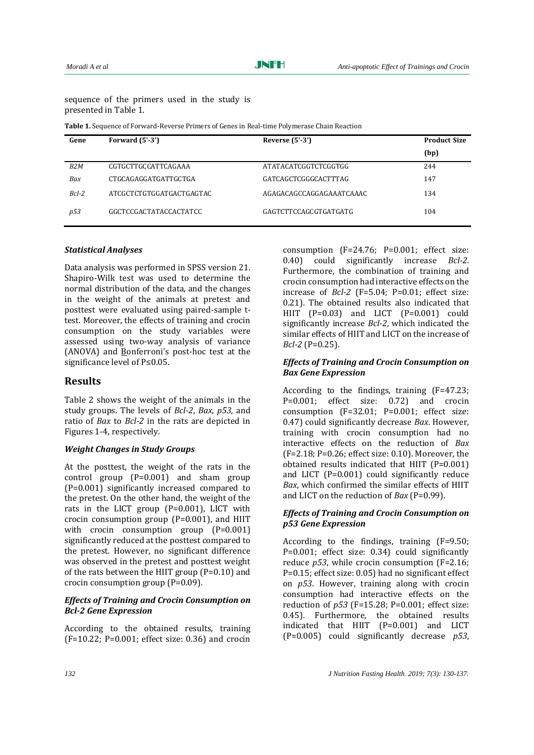sequence of the primers used in the study is presented in Table 1.

**Table 1.** Sequence of Forward-Reverse Primers of Genes in Real-time Polymerase Chain Reaction

| Gene             | Forward $(5' - 3')$      | Reverse $(5' - 3')$      | <b>Product Size</b> |
|------------------|--------------------------|--------------------------|---------------------|
|                  |                          |                          | (bp)                |
| B <sub>2</sub> M | CGTGCTTGCCATTCAGAAA      | ATATACATCGGTCTCGGTGG     | 244                 |
| Bax              | CTGCAGAGGATGATTGCTGA     | GATCAGCTCGGGCACTTTAG     | 147                 |
| $Bcl-2$          | ATCGCTCTGTGGATGACTGAGTAC | AGAGACAGCCAGGAGAAATCAAAC | 134                 |
| p53              | GGCTCCGACTATACCACTATCC   | GAGTCTTCCAGCGTGATGATG    | 104                 |

### *Statistical Analyses*

Data analysis was performed in SPSS version 21. Shapiro-Wilk test was used to determine the normal distribution of the data, and the changes in the weight of the animals at pretest and posttest were evaluated using paired-sample ttest. Moreover, the effects of training and crocin consumption on the study variables were assessed using two-way analysis of variance (ANOVA) and Bonferroni's post-hoc test at the significance level of P≤0.05.

## **Results**

Table 2 shows the weight of the animals in the study groups. The levels of *Bcl-2*, *Bax*, *p53*, and ratio of *Bax* to *Bcl-2* in the rats are depicted in Figures 1-4, respectively.

#### *Weight Changes in Study Groups*

At the posttest, the weight of the rats in the control group (P=0.001) and sham group (P=0.001) significantly increased compared to the pretest. On the other hand, the weight of the rats in the LICT group (P=0.001), LICT with crocin consumption group (P=0.001), and HIIT with crocin consumption group (P=0.001) significantly reduced at the posttest compared to the pretest. However, no significant difference was observed in the pretest and posttest weight of the rats between the HIIT group (P=0.10) and crocin consumption group (P=0.09).

#### *Effects of Training and Crocin Consumption on Bcl-2 Gene Expression*

According to the obtained results, training (F=10.22; P=0.001; effect size: 0.36) and crocin consumption (F=24.76; P=0.001; effect size: 0.40) could significantly increase *Bcl-2*. Furthermore, the combination of training and crocin consumption had interactive effects on the increase of *Bcl-2* (F=5.04; P=0.01; effect size: 0.21). The obtained results also indicated that HIIT (P=0.03) and LICT (P=0.001) could significantly increase *Bcl-2*, which indicated the similar effects of HIIT and LICT on the increase of *Bcl-2* (P=0.25).

#### *Effects of Training and Crocin Consumption on Bax Gene Expression*

According to the findings, training (F=47.23; P=0.001; effect size: 0.72) and crocin consumption (F=32.01; P=0.001; effect size: 0.47) could significantly decrease *Bax*. However, training with crocin consumption had no interactive effects on the reduction of *Bax* (F=2.18; P=0.26; effect size: 0.10). Moreover, the obtained results indicated that HIIT (P=0.001) and LICT (P=0.001) could significantly reduce *Bax*, which confirmed the similar effects of HIIT and LICT on the reduction of *Bax* (P=0.99).

#### *Effects of Training and Crocin Consumption on p53 Gene Expression*

According to the findings, training (F=9.50; P=0.001; effect size: 0.34) could significantly reduce *p53*, while crocin consumption (F=2.16; P=0.15; effect size: 0.05) had no significant effect on *p53*. However, training along with crocin consumption had interactive effects on the reduction of *p53* (F=15.28; P=0.001; effect size: 0.45). Furthermore, the obtained results indicated that HIIT (P=0.001) and LICT (P=0.005) could significantly decrease *p53*,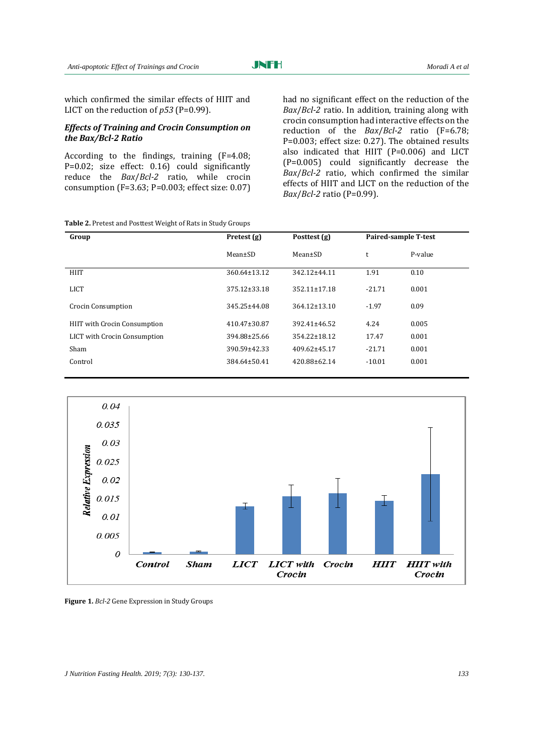which confirmed the similar effects of HIIT and LICT on the reduction of *p53* (P=0.99).

#### *Effects of Training and Crocin Consumption on the Bax/Bcl-2 Ratio*

According to the findings, training (F=4.08; P=0.02; size effect: 0.16) could significantly reduce the *Bax*/*Bcl-2* ratio, while crocin consumption (F=3.63; P=0.003; effect size: 0.07)

**Table 2.** Pretest and Posttest Weight of Rats in Study Groups

had no significant effect on the reduction of the *Bax*/*Bcl-2* ratio. In addition, training along with crocin consumption had interactive effects on the reduction of the *Bax*/*Bcl-2* ratio (F=6.78; P=0.003; effect size: 0.27). The obtained results also indicated that HIIT (P=0.006) and LICT (P=0.005) could significantly decrease the *Bax*/*Bcl-2* ratio, which confirmed the similar effects of HIIT and LICT on the reduction of the *Bax*/*Bcl-2* ratio (P=0.99).

| Group                               | Pretest (g)   | Posttest (g)       | Paired-sample T-test |         |
|-------------------------------------|---------------|--------------------|----------------------|---------|
|                                     | $Mean \pm SD$ | $Mean \pm SD$      | t                    | P-value |
| <b>HIIT</b>                         | 360.64±13.12  | 342.12±44.11       | 1.91                 | 0.10    |
| <b>LICT</b>                         | 375.12±33.18  | $352.11 \pm 17.18$ | $-21.71$             | 0.001   |
| <b>Crocin Consumption</b>           | 345.25±44.08  | $364.12 \pm 13.10$ | $-1.97$              | 0.09    |
| <b>HIIT</b> with Crocin Consumption | 410.47±30.87  | $392.41 \pm 46.52$ | 4.24                 | 0.005   |
| LICT with Crocin Consumption        | 394.88±25.66  | $354.22 \pm 18.12$ | 17.47                | 0.001   |
| Sham                                | 390.59±42.33  | 409.62±45.17       | $-21.71$             | 0.001   |
| Control                             | 384.64±50.41  | 420.88±62.14       | $-10.01$             | 0.001   |



**Figure 1.** *Bcl-2* Gene Expression in Study Groups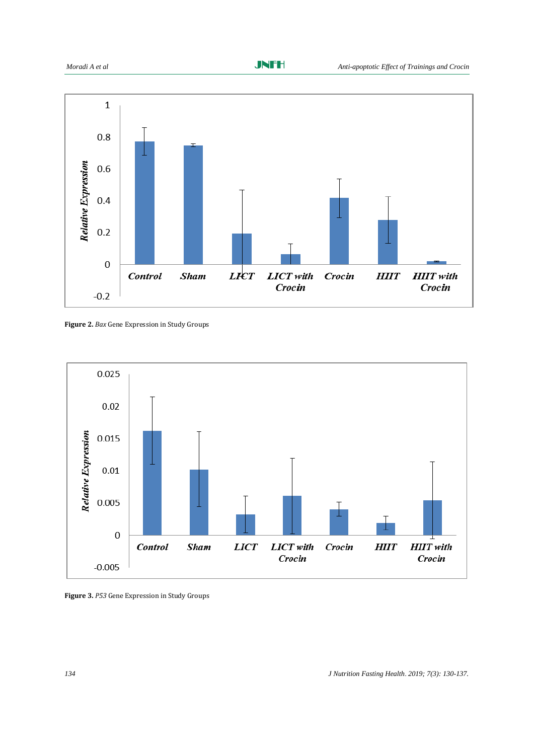

**Figure 2.** *Bax* Gene Expression in Study Groups



**Figure 3.** *P53* Gene Expression in Study Groups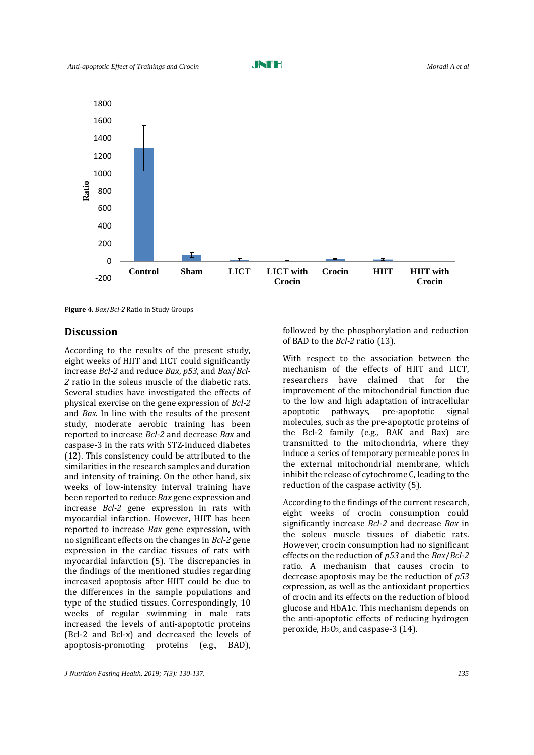

**Figure 4.** *Bax*/*Bcl-2* Ratio in Study Groups

## **Discussion**

According to the results of the present study, eight weeks of HIIT and LICT could significantly increase *Bcl-2* and reduce *Bax*, *p53*, and *Bax*/*Bcl-2* ratio in the soleus muscle of the diabetic rats. Several studies have investigated the effects of physical exercise on the gene expression of *Bcl-2* and *Bax*. In line with the results of the present study, moderate aerobic training has been reported to increase *Bcl-2* and decrease *Bax* and caspase-3 in the rats with STZ-induced diabetes (12). This consistency could be attributed to the similarities in the research samples and duration and intensity of training. On the other hand, six weeks of low-intensity interval training have been reported to reduce *Bax* gene expression and increase *Bcl-2* gene expression in rats with myocardial infarction. However, HIIT has been reported to increase *Bax* gene expression, with no significant effects on the changes in *Bcl-2* gene expression in the cardiac tissues of rats with myocardial infarction (5). The discrepancies in the findings of the mentioned studies regarding increased apoptosis after HIIT could be due to the differences in the sample populations and type of the studied tissues. Correspondingly, 10 weeks of regular swimming in male rats increased the levels of anti-apoptotic proteins (Bcl-2 and Bcl-x) and decreased the levels of apoptosis-promoting proteins (e.g., BAD),

followed by the phosphorylation and reduction of BAD to the *Bcl-2* ratio (13).

With respect to the association between the mechanism of the effects of HIIT and LICT, researchers have claimed that for the improvement of the mitochondrial function due to the low and high adaptation of intracellular apoptotic pathways, pre-apoptotic signal molecules, such as the pre-apoptotic proteins of the Bcl-2 family (e.g., BAK and Bax) are transmitted to the mitochondria, where they induce a series of temporary permeable pores in the external mitochondrial membrane, which inhibit the release of cytochrome C, leading to the reduction of the caspase activity (5).

According to the findings of the current research, eight weeks of crocin consumption could significantly increase *Bcl-2* and decrease *Bax* in the soleus muscle tissues of diabetic rats. However, crocin consumption had no significant effects on the reduction of *p53* and the *Bax*/*Bcl-2* ratio. A mechanism that causes crocin to decrease apoptosis may be the reduction of *p53* expression, as well as the antioxidant properties of crocin and its effects on the reduction of blood glucose and HbA1c. This mechanism depends on the anti-apoptotic effects of reducing hydrogen peroxide,  $H_2O_2$ , and caspase-3 (14).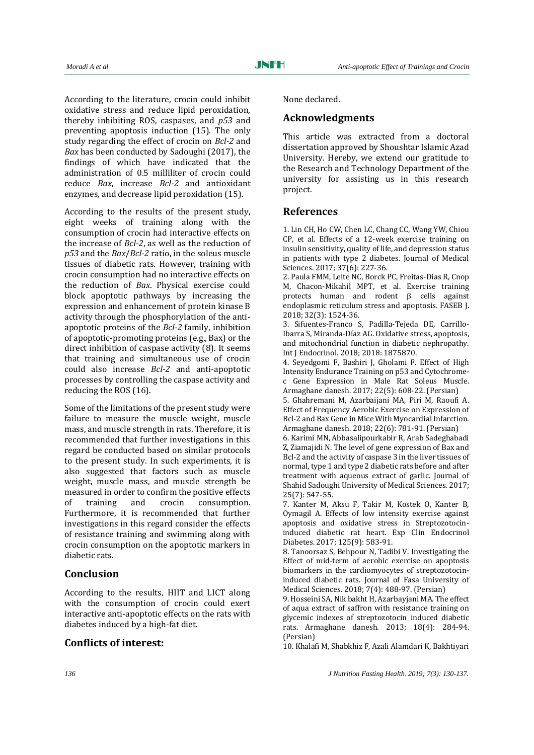According to the literature, crocin could inhibit oxidative stress and reduce lipid peroxidation, thereby inhibiting ROS, caspases, and *p53* and preventing apoptosis induction (15). The only study regarding the effect of crocin on *Bcl-2* and *Bax* has been conducted by Sadoughi (2017), the findings of which have indicated that the administration of 0.5 milliliter of crocin could reduce *Bax*, increase *Bcl-2* and antioxidant enzymes, and decrease lipid peroxidation (15).

According to the results of the present study, eight weeks of training along with the consumption of crocin had interactive effects on the increase of *Bcl-2*, as well as the reduction of *p53* and the *Bax*/*Bcl-2* ratio, in the soleus muscle tissues of diabetic rats. However, training with crocin consumption had no interactive effects on the reduction of *Bax*. Physical exercise could block apoptotic pathways by increasing the expression and enhancement of protein kinase B activity through the phosphorylation of the antiapoptotic proteins of the *Bcl-2* family, inhibition of apoptotic-promoting proteins (e.g., Bax) or the direct inhibition of caspase activity (8). It seems that training and simultaneous use of crocin could also increase *Bcl-2* and anti-apoptotic processes by controlling the caspase activity and reducing the ROS (16).

Some of the limitations of the present study were failure to measure the muscle weight, muscle mass, and muscle strength in rats. Therefore, it is recommended that further investigations in this regard be conducted based on similar protocols to the present study. In such experiments, it is also suggested that factors such as muscle weight, muscle mass, and muscle strength be measured in order to confirm the positive effects of training and crocin consumption. Furthermore, it is recommended that further investigations in this regard consider the effects of resistance training and swimming along with crocin consumption on the apoptotic markers in diabetic rats.

## **Conclusion**

According to the results, HIIT and LICT along with the consumption of crocin could exert interactive anti-apoptotic effects on the rats with diabetes induced by a high-fat diet.

# **Conflicts of interest:**

None declared.

# **Acknowledgments**

This article was extracted from a doctoral dissertation approved by Shoushtar Islamic Azad University. Hereby, we extend our gratitude to the Research and Technology Department of the university for assisting us in this research project.

## **References**

1. Lin CH, Ho CW, Chen LC, Chang CC, Wang YW, Chiou CP, et al. Effects of a 12-week exercise training on insulin sensitivity, quality of life, and depression status in patients with type 2 diabetes. Journal of Medical Sciences. 2017; 37(6): 227-36.

2. Paula FMM, Leite NC, Borck PC, Freitas-Dias R, Cnop M, Chacon-Mikahil MPT, et al. Exercise training protects human and rodent β cells against endoplasmic reticulum stress and apoptosis. FASEB J. 2018; 32(3): 1524-36.

3. Sifuentes-Franco S, Padilla-Tejeda DE, Carrillo-Ibarra S, Miranda-Díaz AG. Oxidative stress, apoptosis, and mitochondrial function in diabetic nephropathy. Int J Endocrinol. 2018; 2018: 1875870.

4. Seyedgomi F, Bashiri J, Gholami F. Effect of High Intensity Endurance Training on p53 and Cytochromec Gene Expression in Male Rat Soleus Muscle. Armaghane danesh. 2017; 22(5): 608-22. (Persian)

5. Ghahremani M, Azarbaijani MA, Piri M, Raoufi A. Effect of Frequency Aerobic Exercise on Expression of Bcl-2 and Bax Gene in Mice With Myocardial Infarction. Armaghane danesh. 2018; 22(6): 781-91. (Persian)

6. Karimi MN, Abbasalipourkabir R, Arab Sadeghabadi Z, Ziamajidi N. The level of gene expression of Bax and Bcl-2 and the activity of caspase 3 in the liver tissues of normal, type 1 and type 2 diabetic rats before and after treatment with aqueous extract of garlic. Journal of Shahid Sadoughi University of Medical Sciences. 2017; 25(7): 547-55.

7. Kanter M, Aksu F, Takir M, Kostek O, Kanter B, Oymagil A. Effects of low intensity exercise against apoptosis and oxidative stress in Streptozotocininduced diabetic rat heart. Exp Clin Endocrinol Diabetes. 2017; 125(9): 583-91.

8. Tanoorsaz S, Behpour N, Tadibi V. Investigating the Effect of mid-term of aerobic exercise on apoptosis biomarkers in the cardiomyocytes of streptozotocininduced diabetic rats. Journal of Fasa University of Medical Sciences. 2018; 7(4): 488-97. (Persian)

9. Hosseini SA, Nik bakht H, Azarbayjani MA. The effect of aqua extract of saffron with resistance training on glycemic indexes of streptozotocin induced diabetic rats. Armaghane danesh. 2013; 18(4): 284-94. (Persian)

10. Khalafi M, Shabkhiz F, Azali Alamdari K, Bakhtiyari